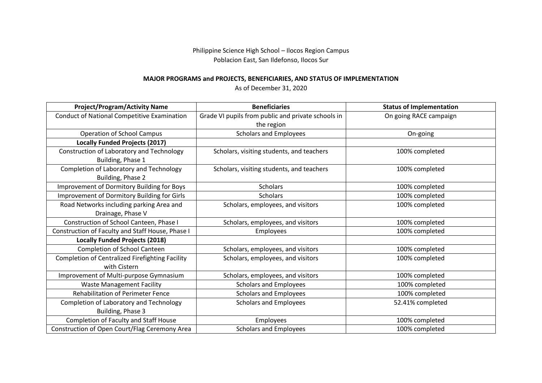Philippine Science High School – Ilocos Region Campus Poblacion East, San Ildefonso, Ilocos Sur

## **MAJOR PROGRAMS and PROJECTS, BENEFICIARIES, AND STATUS OF IMPLEMENTATION**

As of December 31, 2020

| <b>Project/Program/Activity Name</b>               | <b>Beneficiaries</b>                               | <b>Status of Implementation</b> |
|----------------------------------------------------|----------------------------------------------------|---------------------------------|
| <b>Conduct of National Competitive Examination</b> | Grade VI pupils from public and private schools in | On going RACE campaign          |
|                                                    | the region                                         |                                 |
| <b>Operation of School Campus</b>                  | <b>Scholars and Employees</b>                      | On-going                        |
| <b>Locally Funded Projects (2017)</b>              |                                                    |                                 |
| Construction of Laboratory and Technology          | Scholars, visiting students, and teachers          | 100% completed                  |
| Building, Phase 1                                  |                                                    |                                 |
| Completion of Laboratory and Technology            | Scholars, visiting students, and teachers          | 100% completed                  |
| Building, Phase 2                                  |                                                    |                                 |
| Improvement of Dormitory Building for Boys         | <b>Scholars</b>                                    | 100% completed                  |
| Improvement of Dormitory Building for Girls        | <b>Scholars</b>                                    | 100% completed                  |
| Road Networks including parking Area and           | Scholars, employees, and visitors                  | 100% completed                  |
| Drainage, Phase V                                  |                                                    |                                 |
| Construction of School Canteen, Phase I            | Scholars, employees, and visitors                  | 100% completed                  |
| Construction of Faculty and Staff House, Phase I   | Employees                                          | 100% completed                  |
| <b>Locally Funded Projects (2018)</b>              |                                                    |                                 |
| Completion of School Canteen                       | Scholars, employees, and visitors                  | 100% completed                  |
| Completion of Centralized Firefighting Facility    | Scholars, employees, and visitors                  | 100% completed                  |
| with Cistern                                       |                                                    |                                 |
| Improvement of Multi-purpose Gymnasium             | Scholars, employees, and visitors                  | 100% completed                  |
| <b>Waste Management Facility</b>                   | <b>Scholars and Employees</b>                      | 100% completed                  |
| Rehabilitation of Perimeter Fence                  | <b>Scholars and Employees</b>                      | 100% completed                  |
| Completion of Laboratory and Technology            | <b>Scholars and Employees</b>                      | 52.41% completed                |
| Building, Phase 3                                  |                                                    |                                 |
| Completion of Faculty and Staff House              | Employees                                          | 100% completed                  |
| Construction of Open Court/Flag Ceremony Area      | <b>Scholars and Employees</b>                      | 100% completed                  |